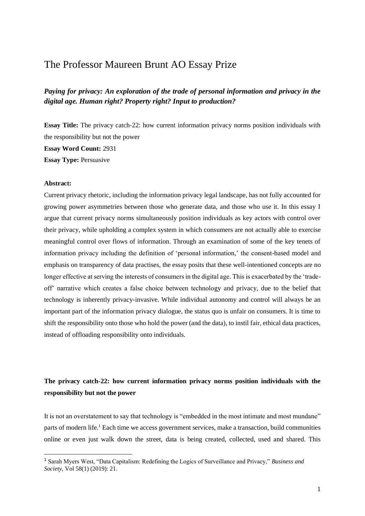## The Professor Maureen Brunt AO Essay Prize

*Paying for privacy: An exploration of the trade of personal information and privacy in the digital age. Human right? Property right? Input to production?*

**Essay Title:** The privacy catch-22: how current information privacy norms position individuals with the responsibility but not the power **Essay Word Count:** 2931 **Essay Type: Persuasive** 

## **Abstract:**

Current privacy rhetoric, including the information privacy legal landscape, has not fully accounted for growing power asymmetries between those who generate data, and those who use it. In this essay I argue that current privacy norms simultaneously position individuals as key actors with control over their privacy, while upholding a complex system in which consumers are not actually able to exercise meaningful control over flows of information. Through an examination of some of the key tenets of information privacy including the definition of 'personal information,' the consent-based model and emphasis on transparency of data practises, the essay posits that these well-intentioned concepts are no longer effective at serving the interests of consumers in the digital age. This is exacerbated by the 'tradeoff' narrative which creates a false choice between technology and privacy, due to the belief that technology is inherently privacy-invasive. While individual autonomy and control will always be an important part of the information privacy dialogue, the status quo is unfair on consumers. It is time to shift the responsibility onto those who hold the power (and the data), to instil fair, ethical data practices, instead of offloading responsibility onto individuals.

## **The privacy catch-22: how current information privacy norms position individuals with the responsibility but not the power**

It is not an overstatement to say that technology is "embedded in the most intimate and most mundane" parts of modern life.<sup>1</sup> Each time we access government services, make a transaction, build communities online or even just walk down the street, data is being created, collected, used and shared. This

<sup>1</sup> Sarah Myers West, "Data Capitalism: Redefining the Logics of Surveillance and Privacy," *Business and Society,* Vol 58(1) (2019): 21.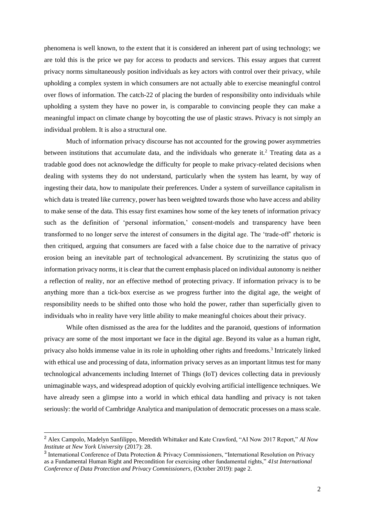phenomena is well known, to the extent that it is considered an inherent part of using technology; we are told this is the price we pay for access to products and services. This essay argues that current privacy norms simultaneously position individuals as key actors with control over their privacy, while upholding a complex system in which consumers are not actually able to exercise meaningful control over flows of information. The catch-22 of placing the burden of responsibility onto individuals while upholding a system they have no power in, is comparable to convincing people they can make a meaningful impact on climate change by boycotting the use of plastic straws. Privacy is not simply an individual problem. It is also a structural one.

Much of information privacy discourse has not accounted for the growing power asymmetries between institutions that accumulate data, and the individuals who generate it.<sup>2</sup> Treating data as a tradable good does not acknowledge the difficulty for people to make privacy-related decisions when dealing with systems they do not understand, particularly when the system has learnt, by way of ingesting their data, how to manipulate their preferences. Under a system of surveillance capitalism in which data is treated like currency, power has been weighted towards those who have access and ability to make sense of the data. This essay first examines how some of the key tenets of information privacy such as the definition of 'personal information,' consent-models and transparency have been transformed to no longer serve the interest of consumers in the digital age. The 'trade-off' rhetoric is then critiqued, arguing that consumers are faced with a false choice due to the narrative of privacy erosion being an inevitable part of technological advancement. By scrutinizing the status quo of information privacy norms, it is clear that the current emphasis placed on individual autonomy is neither a reflection of reality, nor an effective method of protecting privacy. If information privacy is to be anything more than a tick-box exercise as we progress further into the digital age, the weight of responsibility needs to be shifted onto those who hold the power, rather than superficially given to individuals who in reality have very little ability to make meaningful choices about their privacy.

While often dismissed as the area for the luddites and the paranoid, questions of information privacy are some of the most important we face in the digital age. Beyond its value as a human right, privacy also holds immense value in its role in upholding other rights and freedoms.<sup>3</sup> Intricately linked with ethical use and processing of data, information privacy serves as an important litmus test for many technological advancements including Internet of Things (IoT) devices collecting data in previously unimaginable ways, and widespread adoption of quickly evolving artificial intelligence techniques. We have already seen a glimpse into a world in which ethical data handling and privacy is not taken seriously: the world of Cambridge Analytica and manipulation of democratic processes on a mass scale.

<sup>2</sup> Alex Campolo, Madelyn Sanfilippo, Meredith Whittaker and Kate Crawford, "AI Now 2017 Report," *AI Now Institute at New York University* (2017): 28.

<sup>&</sup>lt;sup>3</sup> International Conference of Data Protection & Privacy Commissioners, "International Resolution on Privacy as a Fundamental Human Right and Precondition for exercising other fundamental rights," *41st International Conference of Data Protection and Privacy Commissioners*, (October 2019): page 2.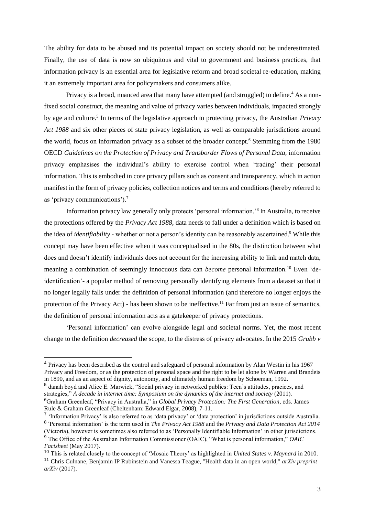The ability for data to be abused and its potential impact on society should not be underestimated. Finally, the use of data is now so ubiquitous and vital to government and business practices, that information privacy is an essential area for legislative reform and broad societal re-education, making it an extremely important area for policymakers and consumers alike.

Privacy is a broad, nuanced area that many have attempted (and struggled) to define.<sup>4</sup> As a nonfixed social construct, the meaning and value of privacy varies between individuals, impacted strongly by age and culture.<sup>5</sup> In terms of the legislative approach to protecting privacy, the Australian *Privacy Act 1988* and six other pieces of state privacy legislation, as well as comparable jurisdictions around the world, focus on information privacy as a subset of the broader concept.<sup>6</sup> Stemming from the 1980 OECD *Guidelines on the Protection of Privacy and Transborder Flows of Personal Data,* information privacy emphasises the individual's ability to exercise control when 'trading' their personal information. This is embodied in core privacy pillars such as consent and transparency, which in action manifest in the form of privacy policies, collection notices and terms and conditions (hereby referred to as 'privacy communications').<sup>7</sup>

Information privacy law generally only protects 'personal information.'<sup>8</sup> In Australia, to receive the protections offered by the *Privacy Act 1988*, data needs to fall under a definition which is based on the idea of *identifiability -* whether or not a person's identity can be reasonably ascertained.<sup>9</sup> While this concept may have been effective when it was conceptualised in the 80s, the distinction between what does and doesn't identify individuals does not account for the increasing ability to link and match data, meaning a combination of seemingly innocuous data can *become* personal information.<sup>10</sup> Even 'deidentification'- a popular method of removing personally identifying elements from a dataset so that it no longer legally falls under the definition of personal information (and therefore no longer enjoys the protection of the Privacy Act) - has been shown to be ineffective.<sup>11</sup> Far from just an issue of semantics, the definition of personal information acts as a gatekeeper of privacy protections.

'Personal information' can evolve alongside legal and societal norms. Yet, the most recent change to the definition *decreased* the scope, to the distress of privacy advocates. In the 2015 *Grubb v* 

<sup>4</sup> Privacy has been described as the control and safeguard of personal information by Alan Westin in his 1967 Privacy and Freedom, or as the protection of personal space and the right to be let alone by Warren and Brandeis in 1890, and as an aspect of dignity, autonomy, and ultimately human freedom by Schoeman, 1992.

<sup>5</sup> danah boyd and Alice E. Marwick, "Social privacy in networked publics: Teen's attitudes, pracices, and strategies," *A decade in internet time: Symposium on the dynamics of the internet and society* (2011). <sup>6</sup>Graham Greenleaf, "Privacy in Australia," in *Global Privacy Protection: The First Generation*, eds. James

Rule & Graham Greenleaf (Cheltenham: Edward Elgar, 2008), 7-11.

<sup>&</sup>lt;sup>7</sup> 'Information Privacy' is also referred to as 'data privacy' or 'data protection' in jurisdictions outside Australia.

<sup>8</sup> 'Personal information' is the term used in *The Privacy Act 1988* and the *Privacy and Data Protection Act 2014*  (Victoria), however is sometimes also referred to as 'Personally Identifiable Information' in other jurisdictions. <sup>9</sup> The Office of the Australian Information Commissioner (OAIC), "What is personal information," *OAIC Factsheet* (May 2017).

<sup>10</sup> This is related closely to the concept of 'Mosaic Theory' as highlighted in *United States v. Maynard* in 2010. <sup>11</sup> Chris Culnane, Benjamin IP Rubinstein and Vanessa Teague, "Health data in an open world," *arXiv preprint arXiv* (2017).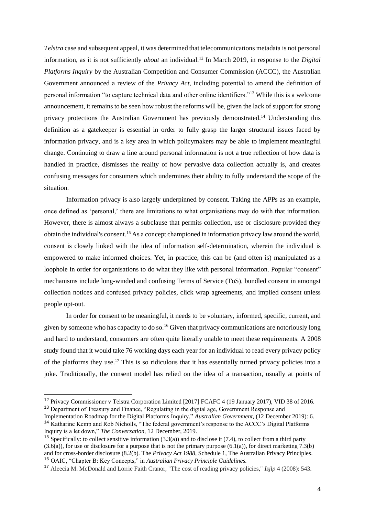*Telstra* case and subsequent appeal, it was determined that telecommunications metadata is not personal information, as it is not sufficiently *about* an individual.<sup>12</sup> In March 2019, in response to the *Digital Platforms Inquiry* by the Australian Competition and Consumer Commission (ACCC), the Australian Government announced a review of the *Privacy Act,* including potential to amend the definition of personal information "to capture technical data and other online identifiers."<sup>13</sup> While this is a welcome announcement, it remains to be seen how robust the reforms will be, given the lack of support for strong privacy protections the Australian Government has previously demonstrated.<sup>14</sup> Understanding this definition as a gatekeeper is essential in order to fully grasp the larger structural issues faced by information privacy, and is a key area in which policymakers may be able to implement meaningful change. Continuing to draw a line around personal information is not a true reflection of how data is handled in practice, dismisses the reality of how pervasive data collection actually is, and creates confusing messages for consumers which undermines their ability to fully understand the scope of the situation.

Information privacy is also largely underpinned by consent. Taking the APPs as an example, once defined as 'personal,' there are limitations to what organisations may do with that information. However, there is almost always a subclause that permits collection, use or disclosure provided they obtain the individual's consent.<sup>15</sup> As a concept championed in information privacy law around the world, consent is closely linked with the idea of information self-determination, wherein the individual is empowered to make informed choices. Yet, in practice, this can be (and often is) manipulated as a loophole in order for organisations to do what they like with personal information. Popular "consent" mechanisms include long-winded and confusing Terms of Service (ToS), bundled consent in amongst collection notices and confused privacy policies, click wrap agreements, and implied consent unless people opt-out.

In order for consent to be meaningful, it needs to be voluntary, informed, specific, current, and given by someone who has capacity to do so.<sup>16</sup> Given that privacy communications are notoriously long and hard to understand, consumers are often quite literally unable to meet these requirements. A 2008 study found that it would take 76 working days each year for an individual to read every privacy policy of the platforms they use.<sup>17</sup> This is so ridiculous that it has essentially turned privacy policies into a joke. Traditionally, the consent model has relied on the idea of a transaction, usually at points of

<sup>12</sup> Privacy Commissioner v Telstra Corporation Limited [2017] FCAFC 4 (19 January 2017), VID 38 of 2016. <sup>13</sup> Department of Treasury and Finance, "Regulating in the digital age, Government Response and

Implementation Roadmap for the Digital Platforms Inquiry," *Australian Government,* (12 December 2019): 6. <sup>14</sup> Katharine Kemp and Rob Nicholls, "The federal government's response to the ACCC's Digital Platforms Inquiry is a let down," *The Conversation,* 12 December, 2019.

<sup>&</sup>lt;sup>15</sup> Specifically: to collect sensitive information  $(3.3(a))$  and to disclose it  $(7.4)$ , to collect from a third party  $(3.6(a))$ , for use or disclosure for a purpose that is not the primary purpose  $(6.1(a))$ , for direct marketing 7.3(b) and for cross-border disclosure (8.2(b). The *Privacy Act 1988,* Schedule 1, The Australian Privacy Principles. <sup>16</sup> OAIC, "Chapter B: Key Concepts," in *Australian Privacy Principle Guidelines.*

<sup>17</sup> Aleecia M. McDonald and Lorrie Faith Cranor, "The cost of reading privacy policies," *Isjlp* 4 (2008): 543.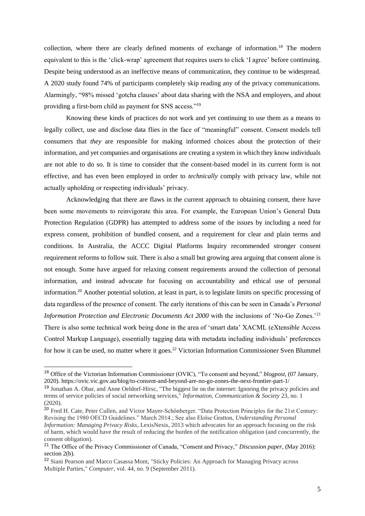collection, where there are clearly defined moments of exchange of information.<sup>18</sup> The modern equivalent to this is the 'click-wrap' agreement that requires users to click 'I agree' before continuing. Despite being understood as an ineffective means of communication, they continue to be widespread. A 2020 study found 74% of participants completely skip reading any of the privacy communications. Alarmingly, "98% missed 'gotcha clauses' about data sharing with the NSA and employers, and about providing a first-born child as payment for SNS access."<sup>19</sup>

Knowing these kinds of practices do not work and yet continuing to use them as a means to legally collect, use and disclose data flies in the face of "meaningful" consent. Consent models tell consumers that *they* are responsible for making informed choices about the protection of their information, and yet companies and organisations are creating a system in which they know individuals are not able to do so. It is time to consider that the consent-based model in its current form is not effective, and has even been employed in order to *technically* comply with privacy law, while not actually upholding or respecting individuals' privacy.

Acknowledging that there are flaws in the current approach to obtaining consent, there have been some movements to reinvigorate this area. For example, the European Union's General Data Protection Regulation (GDPR) has attempted to address some of the issues by including a need for express consent, prohibition of bundled consent, and a requirement for clear and plain terms and conditions. In Australia, the ACCC Digital Platforms Inquiry recommended stronger consent requirement reforms to follow suit. There is also a small but growing area arguing that consent alone is not enough. Some have argued for relaxing consent requirements around the collection of personal information, and instead advocate for focusing on accountability and ethical use of personal information.<sup>20</sup> Another potential solution, at least in part, is to legislate limits on specific processing of data regardless of the presence of consent. The early iterations of this can be seen in Canada's *Personal Information Protection and Electronic Documents Act 2000* with the inclusions of 'No-Go Zones.'<sup>21</sup> There is also some technical work being done in the area of 'smart data' XACML (eXtensible Access Control Markup Language), essentially tagging data with metadata including individuals' preferences for how it can be used, no matter where it goes.<sup>22</sup> Victorian Information Commissioner Sven Blummel

<sup>18</sup> Office of the Victorian Information Commissioner (OVIC), "To consent and beyond," *blogpost,* (07 January, 2020). https://ovic.vic.gov.au/blog/to-consent-and-beyond-are-no-go-zones-the-next-frontier-part-1/

<sup>19</sup> Jonathan A. Obar, and Anne Oeldorf-Hirsc, "The biggest lie on the internet: Ignoring the privacy policies and terms of service policies of social networking services," *Information, Communication & Society* 23, no. 1 (2020).

<sup>&</sup>lt;sup>20</sup> Fred H. Cate, Peter Cullen, and Victor Mayer-Schönberger. "Data Protection Principles for the 21st Century: Revising the 1980 OECD Guidelines." March 2014.; See also Eloïse Gratton, *Understanding Personal* 

*Information: Managing Privacy Risks*, LexisNexis, 2013 which advocates for an approach focusing on the risk of harm, which would have the result of reducing the burden of the notification obligation (and concurrently, the consent obligation).

<sup>21</sup> The Office of the Privacy Commissioner of Canada, "Consent and Privacy," *Discussion paper,* (May 2016): section 2(b).

<sup>&</sup>lt;sup>22</sup> Siani Pearson and Marco Casassa Mont, "Sticky Policies: An Approach for Managing Privacy across Multiple Parties," *Computer*, vol. 44, no. 9 (September 2011).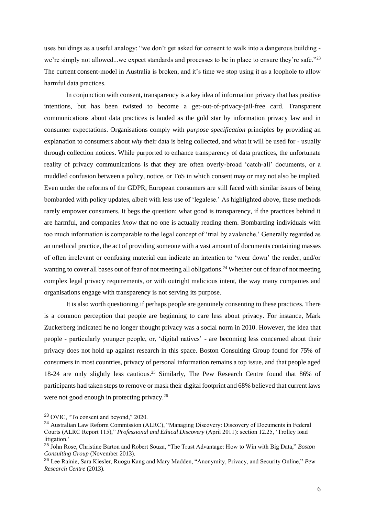uses buildings as a useful analogy: "we don't get asked for consent to walk into a dangerous building we're simply not allowed...we expect standards and processes to be in place to ensure they're safe."<sup>23</sup> The current consent-model in Australia is broken, and it's time we stop using it as a loophole to allow harmful data practices.

In conjunction with consent, transparency is a key idea of information privacy that has positive intentions, but has been twisted to become a get-out-of-privacy-jail-free card. Transparent communications about data practices is lauded as the gold star by information privacy law and in consumer expectations. Organisations comply with *purpose specification* principles by providing an explanation to consumers about *why* their data is being collected, and what it will be used for - usually through collection notices. While purported to enhance transparency of data practices, the unfortunate reality of privacy communications is that they are often overly-broad 'catch-all' documents, or a muddled confusion between a policy, notice, or ToS in which consent may or may not also be implied. Even under the reforms of the GDPR, European consumers are still faced with similar issues of being bombarded with policy updates, albeit with less use of 'legalese.' As highlighted above, these methods rarely empower consumers. It begs the question: what good is transparency, if the practices behind it are harmful, and companies *know* that no one is actually reading them. Bombarding individuals with too much information is comparable to the legal concept of 'trial by avalanche.' Generally regarded as an unethical practice, the act of providing someone with a vast amount of documents containing masses of often irrelevant or confusing material can indicate an intention to 'wear down' the reader, and/or wanting to cover all bases out of fear of not meeting all obligations.<sup>24</sup> Whether out of fear of not meeting complex legal privacy requirements, or with outright malicious intent, the way many companies and organisations engage with transparency is not serving its purpose.

It is also worth questioning if perhaps people are genuinely consenting to these practices. There is a common perception that people are beginning to care less about privacy. For instance, Mark Zuckerberg indicated he no longer thought privacy was a social norm in 2010. However, the idea that people - particularly younger people, or, 'digital natives' - are becoming less concerned about their privacy does not hold up against research in this space. Boston Consulting Group found for 75% of consumers in most countries, privacy of personal information remains a top issue, and that people aged 18-24 are only slightly less cautious.<sup>25</sup> Similarly, The Pew Research Centre found that 86% of participants had taken steps to remove or mask their digital footprint and 68% believed that current laws were not good enough in protecting privacy.<sup>26</sup>

<sup>23</sup> OVIC, "To consent and beyond," 2020.

<sup>24</sup> Australian Law Reform Commission (ALRC), "Managing Discovery: Discovery of Documents in Federal Courts (ALRC Report 115)," *Professional and Ethical Discovery* (April 2011): section 12.25, 'Trolley load litigation.'

<sup>25</sup> John Rose, Christine Barton and Robert Souza, "The Trust Advantage: How to Win with Big Data," *Boston Consulting Group* (November 2013).

<sup>26</sup> Lee Rainie, Sara Kiesler, Ruogu Kang and Mary Madden, "Anonymity, Privacy, and Security Online," *Pew Research Centre* (2013).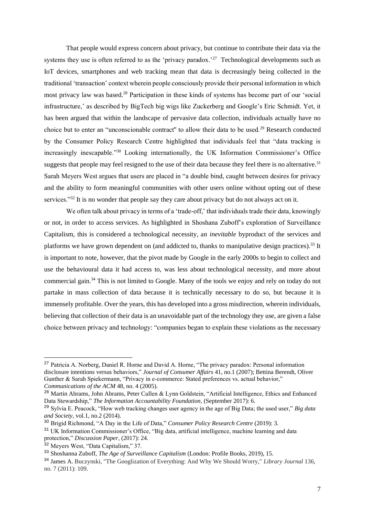That people would express concern about privacy, but continue to contribute their data via the systems they use is often referred to as the 'privacy paradox.'<sup>27</sup> Technological developments such as IoT devices, smartphones and web tracking mean that data is decreasingly being collected in the traditional 'transaction' context wherein people consciously provide their personal information in which most privacy law was based.<sup>28</sup> Participation in these kinds of systems has become part of our 'social infrastructure,' as described by BigTech big wigs like Zuckerberg and Google's Eric Schmidt. Yet, it has been argued that within the landscape of pervasive data collection, individuals actually have no choice but to enter an "unconscionable contract'' to allow their data to be used.<sup>29</sup> Research conducted by the Consumer Policy Research Centre highlighted that individuals feel that "data tracking is increasingly inescapable."<sup>30</sup> Looking internationally, the UK Information Commissioner's Office suggests that people may feel resigned to the use of their data because they feel there is no alternative.<sup>31</sup> Sarah Meyers West argues that users are placed in "a double bind, caught between desires for privacy and the ability to form meaningful communities with other users online without opting out of these services."<sup>32</sup> It is no wonder that people say they care about privacy but do not always act on it.

We often talk about privacy in terms of a 'trade-off,' that individuals trade their data, knowingly or not, in order to access services. As highlighted in Shoshana Zuboff's exploration of Surveillance Capitalism, this is considered a technological necessity, an *inevitable* byproduct of the services and platforms we have grown dependent on (and addicted to, thanks to manipulative design practices).<sup>33</sup> It is important to note, however, that the pivot made by Google in the early 2000s to begin to collect and use the behavioural data it had access to, was less about technological necessity, and more about commercial gain.<sup>34</sup> This is not limited to Google. Many of the tools we enjoy and rely on today do not partake in mass collection of data because it is technically necessary to do so, but because it is immensely profitable. Over the years, this has developed into a gross misdirection, wherein individuals, believing that collection of their data is an unavoidable part of the technology they use, are given a false choice between privacy and technology: "companies began to explain these violations as the necessary

<sup>&</sup>lt;sup>27</sup> Patricia A. Norberg, Daniel R. Horne and David A. Horne, "The privacy paradox: Personal information disclosure intentions versus behaviors," *Journal of Consumer Affairs* 41, no.1 (2007); Bettina Berendt, Oliver Gunther & Sarah Spiekermann, "Privacy in e-commerce: Stated preferences vs. actual behavior," *Communications of the ACM* 48, no. 4 (2005).

<sup>&</sup>lt;sup>28</sup> Martin Abrams, John Abrams, Peter Cullen & Lynn Goldstein, "Artificial Intelligence, Ethics and Enhanced Data Stewardship," *The Information Accountability Foundation*, (September 2017): 6.

<sup>29</sup> Sylvia E. Peacock, "How web tracking changes user agency in the age of Big Data; the used user," *Big data and Society*, vol.1, no.2 (2014).

<sup>30</sup> Brigid Richmond, "A Day in the Life of Data," *Consumer Policy Research Centre* (2019): 3.

<sup>31</sup> UK Information Commissioner's Office, "Big data, artificial intelligence, machine learning and data protection," *Discussion Paper*, (2017): 24.

<sup>32</sup> Meyers West, "Data Capitalism," 37.

<sup>33</sup> Shoshanna Zuboff, *The Age of Surveillance Capitalism* (London: Profile Books, 2019), 15.

<sup>34</sup> James A. Buczynski, "The Googlization of Everything: And Why We Should Worry," *Library Journal* 136, no. 7 (2011): 109.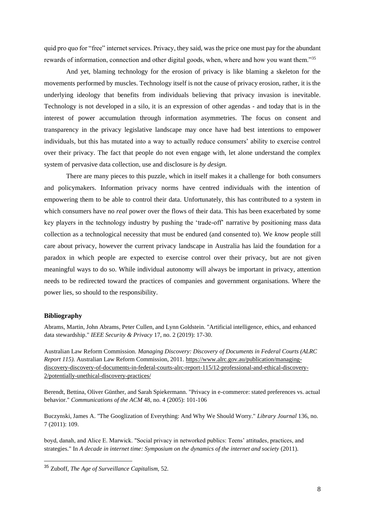quid pro quo for "free" internet services. Privacy, they said, was the price one must pay for the abundant rewards of information, connection and other digital goods, when, where and how you want them."<sup>35</sup>

And yet, blaming technology for the erosion of privacy is like blaming a skeleton for the movements performed by muscles. Technology itself is not the cause of privacy erosion, rather, it is the underlying ideology that benefits from individuals believing that privacy invasion is inevitable. Technology is not developed in a silo, it is an expression of other agendas - and today that is in the interest of power accumulation through information asymmetries. The focus on consent and transparency in the privacy legislative landscape may once have had best intentions to empower individuals, but this has mutated into a way to actually reduce consumers' ability to exercise control over their privacy. The fact that people do not even engage with, let alone understand the complex system of pervasive data collection, use and disclosure is *by design.* 

There are many pieces to this puzzle, which in itself makes it a challenge for both consumers and policymakers. Information privacy norms have centred individuals with the intention of empowering them to be able to control their data. Unfortunately, this has contributed to a system in which consumers have no *real* power over the flows of their data. This has been exacerbated by some key players in the technology industry by pushing the 'trade-off' narrative by positioning mass data collection as a technological necessity that must be endured (and consented to). We *know* people still care about privacy, however the current privacy landscape in Australia has laid the foundation for a paradox in which people are expected to exercise control over their privacy, but are not given meaningful ways to do so. While individual autonomy will always be important in privacy, attention needs to be redirected toward the practices of companies and government organisations. Where the power lies, so should to the responsibility.

## **Bibliography**

Abrams, Martin, John Abrams, Peter Cullen, and Lynn Goldstein. "Artificial intelligence, ethics, and enhanced data stewardship." *IEEE Security & Privacy* 17, no. 2 (2019): 17-30.

Australian Law Reform Commission. *Managing Discovery: Discovery of Documents in Federal Courts (ALRC Report 115).* Australian Law Reform Commission, 2011. [https://www.alrc.gov.au/publication/managing](https://www.alrc.gov.au/publication/managing-discovery-discovery-of-documents-in-federal-courts-alrc-report-115/12-professional-and-ethical-discovery-2/potentially-unethical-discovery-practices/)[discovery-discovery-of-documents-in-federal-courts-alrc-report-115/12-professional-and-ethical-discovery-](https://www.alrc.gov.au/publication/managing-discovery-discovery-of-documents-in-federal-courts-alrc-report-115/12-professional-and-ethical-discovery-2/potentially-unethical-discovery-practices/)[2/potentially-unethical-discovery-practices/](https://www.alrc.gov.au/publication/managing-discovery-discovery-of-documents-in-federal-courts-alrc-report-115/12-professional-and-ethical-discovery-2/potentially-unethical-discovery-practices/)

Berendt, Bettina, Oliver Günther, and Sarah Spiekermann. "Privacy in e-commerce: stated preferences vs. actual behavior." *Communications of the ACM* 48, no. 4 (2005): 101-106

Buczynski, James A. "The Googlization of Everything: And Why We Should Worry." *Library Journal* 136, no. 7 (2011): 109.

boyd, danah, and Alice E. Marwick. "Social privacy in networked publics: Teens' attitudes, practices, and strategies." In *A decade in internet time: Symposium on the dynamics of the internet and society* (2011).

<sup>35</sup> Zuboff, *The Age of Surveillance Capitalism,* 52.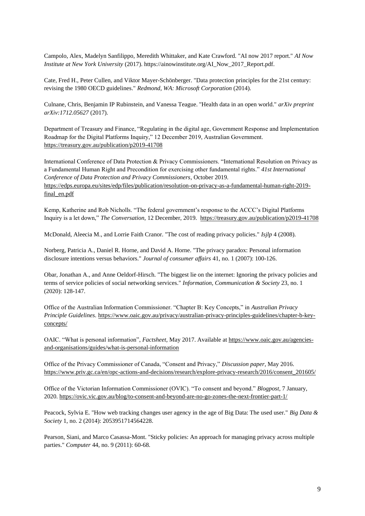Campolo, Alex, Madelyn Sanfilippo, Meredith Whittaker, and Kate Crawford. "AI now 2017 report." *AI Now Institute at New York University* (2017). https://ainowinstitute.org/AI\_Now\_2017\_Report.pdf.

Cate, Fred H., Peter Cullen, and Viktor Mayer-Schönberger. "Data protection principles for the 21st century: revising the 1980 OECD guidelines." *Redmond, WA: Microsoft Corporation* (2014).

Culnane, Chris, Benjamin IP Rubinstein, and Vanessa Teague. "Health data in an open world." *arXiv preprint arXiv:1712.05627* (2017).

Department of Treasury and Finance, "Regulating in the digital age, Government Response and Implementation Roadmap for the Digital Platforms Inquiry," 12 December 2019, Australian Government. <https://treasury.gov.au/publication/p2019-41708>

International Conference of Data Protection & Privacy Commissioners. "International Resolution on Privacy as a Fundamental Human Right and Precondition for exercising other fundamental rights." *41st International Conference of Data Protection and Privacy Commissioners*, October 2019. [https://edps.europa.eu/sites/edp/files/publication/resolution-on-privacy-as-a-fundamental-human-right-2019](https://edps.europa.eu/sites/edp/files/publication/resolution-on-privacy-as-a-fundamental-human-right-2019-final_en.pdf) [final\\_en.pdf](https://edps.europa.eu/sites/edp/files/publication/resolution-on-privacy-as-a-fundamental-human-right-2019-final_en.pdf)

Kemp, Katherine and Rob Nicholls. "The federal government's response to the ACCC's Digital Platforms Inquiry is a let down," *The Conversation,* 12 December, 2019.<https://treasury.gov.au/publication/p2019-41708>

McDonald, Aleecia M., and Lorrie Faith Cranor. "The cost of reading privacy policies." *Isjlp* 4 (2008).

Norberg, Patricia A., Daniel R. Horne, and David A. Horne. "The privacy paradox: Personal information disclosure intentions versus behaviors." *Journal of consumer affairs* 41, no. 1 (2007): 100-126.

Obar, Jonathan A., and Anne Oeldorf-Hirsch. "The biggest lie on the internet: Ignoring the privacy policies and terms of service policies of social networking services." *Information, Communication & Society* 23, no. 1 (2020): 128-147.

Office of the Australian Information Commissioner. "Chapter B: Key Concepts," in *Australian Privacy Principle Guidelines.* [https://www.oaic.gov.au/privacy/australian-privacy-principles-guidelines/chapter-b-key](https://www.oaic.gov.au/privacy/australian-privacy-principles-guidelines/chapter-b-key-concepts/)[concepts/](https://www.oaic.gov.au/privacy/australian-privacy-principles-guidelines/chapter-b-key-concepts/)

OAIC. "What is personal information", *Factsheet*, May 2017. Available at [https://www.oaic.gov.au/agencies](https://www.oaic.gov.au/agencies-and-organisations/guides/what-is-personal-information)[and-organisations/guides/what-is-personal-information](https://www.oaic.gov.au/agencies-and-organisations/guides/what-is-personal-information)

Office of the Privacy Commissioner of Canada, "Consent and Privacy," *Discussion paper,* May 2016. [https://www.priv.gc.ca/en/opc-actions-and-decisions/research/explore-privacy-research/2016/consent\\_201605/](https://www.priv.gc.ca/en/opc-actions-and-decisions/research/explore-privacy-research/2016/consent_201605/)

Office of the Victorian Information Commissioner (OVIC). "To consent and beyond." *Blogpost,* 7 January, 2020.<https://ovic.vic.gov.au/blog/to-consent-and-beyond-are-no-go-zones-the-next-frontier-part-1/>

Peacock, Sylvia E. "How web tracking changes user agency in the age of Big Data: The used user." *Big Data & Society* 1, no. 2 (2014): 2053951714564228.

Pearson, Siani, and Marco Casassa-Mont. "Sticky policies: An approach for managing privacy across multiple parties." *Computer* 44, no. 9 (2011): 60-68.